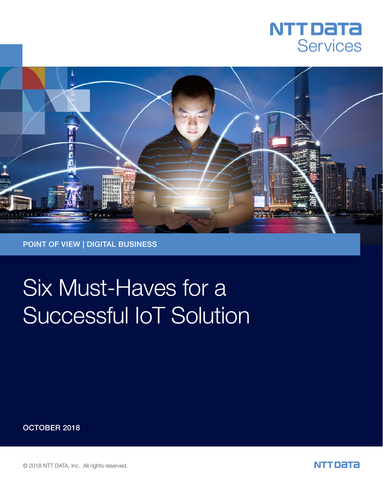



# Six Must-Haves for a Successful IoT Solution

OCTOBER 2018

© 2018 NTT DATA, Inc. All rights reserved.

NTT DATA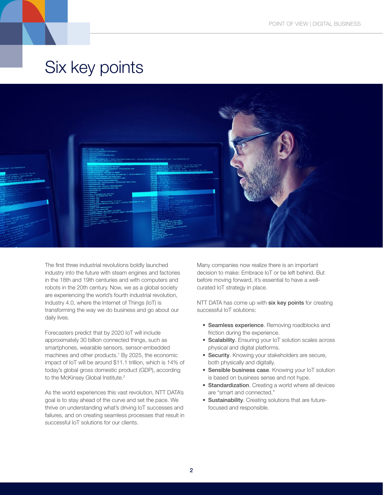



The first three industrial revolutions boldly launched industry into the future with steam engines and factories in the 18th and 19th centuries and with computers and robots in the 20th century. Now, we as a global society are experiencing the world's fourth industrial revolution, Industry 4.0, where the Internet of Things (IoT) is transforming the way we do business and go about our daily lives.

Forecasters predict that by 2020 IoT will include approximately 30 billion connected things, such as smartphones, wearable sensors, sensor-embedded machines and other products.<sup>1</sup> By 2025, the economic impact of IoT will be around \$11.1 trillion, which is 14% of today's global gross domestic product (GDP), according to the McKinsey Global Institute.<sup>2</sup>

As the world experiences this vast revolution, NTT DATA's goal is to stay ahead of the curve and set the pace. We thrive on understanding what's driving IoT successes and failures, and on creating seamless processes that result in successful IoT solutions for our clients.

Many companies now realize there is an important decision to make: Embrace IoT or be left behind. But before moving forward, it's essential to have a wellcurated IoT strategy in place.

NTT DATA has come up with six key points for creating successful IoT solutions:

- Seamless experience. Removing roadblocks and friction during the experience.
- Scalability. Ensuring your IoT solution scales across physical and digital platforms.
- Security. Knowing your stakeholders are secure, both physically and digitally.
- Sensible business case. Knowing your IoT solution is based on business sense and not hype.
- Standardization. Creating a world where all devices are "smart and connected."
- Sustainability. Creating solutions that are futurefocused and responsible.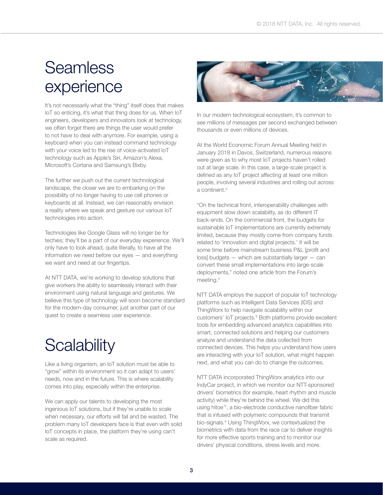#### **Seamless** experience

It's not necessarily what the "thing" itself does that makes IoT so enticing, it's what that thing does for us. When IoT engineers, developers and innovators look at technology, we often forget there are things the user would prefer to not have to deal with anymore. For example, using a keyboard when you can instead command technology with your voice led to the rise of voice-activated IoT technology such as Apple's Siri, Amazon's Alexa, Microsoft's Cortana and Samsung's Bixby.

The further we push out the current technological landscape, the closer we are to embarking on the possibility of no longer having to use cell phones or keyboards at all. Instead, we can reasonably envision a reality where we speak and gesture our various IoT technologies into action.

Technologies like Google Glass will no longer be for techies; they'll be a part of our everyday experience. We'll only have to look ahead, quite literally, to have all the information we need before our eyes — and everything we want and need at our fingertips.

At NTT DATA, we're working to develop solutions that give workers the ability to seamlessly interact with their environment using natural language and gestures. We believe this type of technology will soon become standard for the modern-day consumer, just another part of our quest to create a seamless user experience.

### **Scalability**

Like a living organism, an IoT solution must be able to "grow" within its environment so it can adapt to users' needs, now and in the future. This is where scalability comes into play, especially within the enterprise.

We can apply our talents to developing the most ingenious IoT solutions, but if they're unable to scale when necessary, our efforts will fail and be wasted. The problem many IoT developers face is that even with solid IoT concepts in place, the platform they're using can't scale as required.



In our modern technological ecosystem, it's common to see millions of messages per second exchanged between thousands or even millions of devices.

At the World Economic Forum Annual Meeting held in January 2018 in Davos, Switzerland, numerous reasons were given as to why most IoT projects haven't rolled out at large scale. In this case, a large-scale project is defined as any IoT project affecting at least one million people, involving several industries and rolling out across a continent.3

"On the technical front, interoperability challenges with equipment slow down scalability, as do different IT back-ends. On the commercial front, the budgets for sustainable IoT implementations are currently extremely limited, because they mostly come from company funds related to 'innovation and digital projects.' It will be some time before mainstream business P&L [profit and loss] budgets — which are substantially larger — can convert these small implementations into large-scale deployments," noted one article from the Forum's meeting.3

NTT DATA employs the support of popular IoT technology platforms such as Intelligent Data Services (IDS) and ThingWorx to help navigate scalability within our customers' loT projects.<sup>5</sup> Both platforms provide excellent tools for embedding advanced analytics capabilities into smart, connected solutions and helping our customers analyze and understand the data collected from connected devices. This helps you understand how users are interacting with your IoT solution, what might happen next, and what you can do to change the outcomes.

NTT DATA incorporated ThingWorx analytics into our IndyCar project, in which we monitor our NTT-sponsored drivers' biometrics (for example, heart rhythm and muscle activity) while they're behind the wheel. We did this using hitoe™, a bio-electrode conductive nanofiber fabric that is infused with polymeric compounds that transmit bio-signals.4 Using ThingWorx, we contextualized the biometrics with data from the race car to deliver insights for more effective sports training and to monitor our drivers' physical conditions, stress levels and more.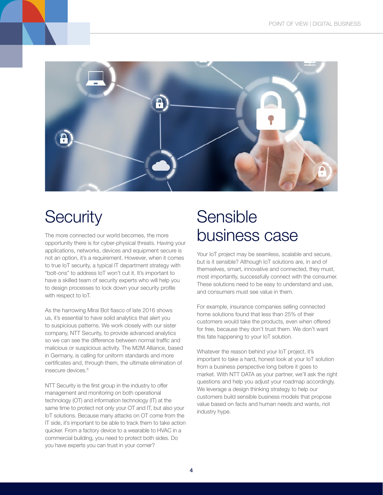

## **Security**

The more connected our world becomes, the more opportunity there is for cyber-physical threats. Having your applications, networks, devices and equipment secure is not an option, it's a requirement. However, when it comes to true IoT security, a typical IT department strategy with "bolt-ons" to address IoT won't cut it. It's important to have a skilled team of security experts who will help you to design processes to lock down your security profile with respect to IoT.

As the harrowing Mirai Bot fiasco of late 2016 shows us, it's essential to have solid analytics that alert you to suspicious patterns. We work closely with our sister company, NTT Security, to provide advanced analytics so we can see the difference between normal traffic and malicious or suspicious activity. The M2M Alliance, based in Germany, is calling for uniform standards and more certificates and, through them, the ultimate elimination of insecure devices.<sup>6</sup>

NTT Security is the first group in the industry to offer management and monitoring on both operational technology (OT) and information technology (IT) at the same time to protect not only your OT and IT, but also your IoT solutions. Because many attacks on OT come from the IT side, it's important to be able to track them to take action quicker. From a factory device to a wearable to HVAC in a commercial building, you need to protect both sides. Do you have experts you can trust in your corner?

#### Sensible business case

Your IoT project may be seamless, scalable and secure, but is it sensible? Although IoT solutions are, in and of themselves, smart, innovative and connected, they must, most importantly, successfully connect with the consumer. These solutions need to be easy to understand and use, and consumers must see value in them.

For example, insurance companies selling connected home solutions found that less than 25% of their customers would take the products, even when offered for free, because they don't trust them. We don't want this fate happening to your IoT solution.

Whatever the reason behind your IoT project, it's important to take a hard, honest look at your IoT solution from a business perspective long before it goes to market. With NTT DATA as your partner, we'll ask the right questions and help you adjust your roadmap accordingly. We leverage a design thinking strategy to help our customers build sensible business models that propose value based on facts and human needs and wants, not industry hype.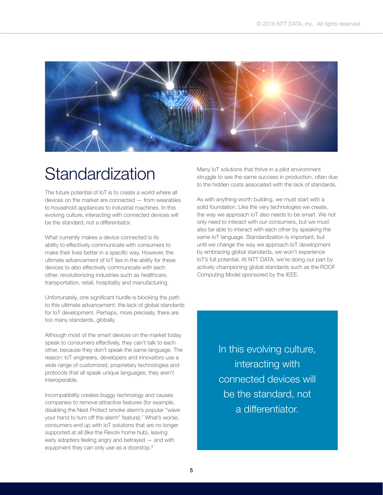

#### **Standardization**

The future potential of IoT is to create a world where all devices on the market are connected — from wearables to household appliances to industrial machines. In this evolving culture, interacting with connected devices will be the standard, not a differentiator.

What currently makes a device connected is its ability to effectively communicate with consumers to make their lives better in a specific way. However, the ultimate advancement of IoT lies in the ability for these devices to also effectively communicate with each other, revolutionizing industries such as healthcare, transportation, retail, hospitality and manufacturing.

Unfortunately, one significant hurdle is blocking the path to this ultimate advancement: the lack of global standards for IoT development. Perhaps, more precisely, there are too many standards, globally.

Although most of the smart devices on the market today speak to consumers effectively, they can't talk to each other, because they don't speak the same language. The reason: IoT engineers, developers and innovators use a wide range of customized, proprietary technologies and protocols that all speak unique languages; they aren't interoperable.

Incompatibility creates buggy technology and causes companies to remove attractive features (for example, disabling the Nest Protect smoke alarm's popular "wave your hand to turn off the alarm" feature).<sup>7</sup> What's worse, consumers end up with IoT solutions that are no longer supported at all (like the Revolv home hub), leaving early adopters feeling angry and betrayed — and with equipment they can only use as a doorstop.<sup>8</sup>

Many IoT solutions that thrive in a pilot environment struggle to see the same success in production, often due to the hidden costs associated with the lack of standards.

As with anything worth building, we must start with a solid foundation. Like the very technologies we create, the way we approach IoT also needs to be smart. We not only need to interact with our consumers, but we must also be able to interact with each other by speaking the same IoT language. Standardization is important, but until we change the way we approach IoT development by embracing global standards, we won't experience IoT's full potential. At NTT DATA, we're doing our part by actively championing global standards such as the ROOF Computing Model sponsored by the IEEE.

> In this evolving culture, interacting with connected devices will be the standard, not a differentiator.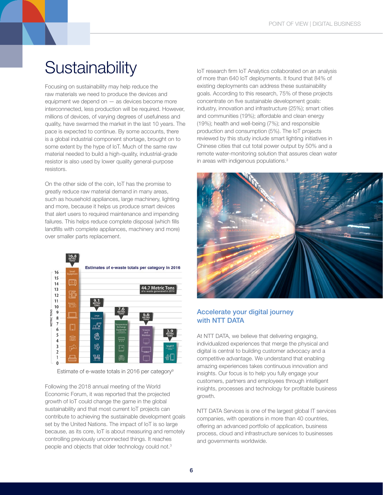#### **Sustainability**

Focusing on sustainability may help reduce the raw materials we need to produce the devices and equipment we depend on — as devices become more interconnected, less production will be required. However, millions of devices, of varying degrees of usefulness and quality, have swarmed the market in the last 10 years. The pace is expected to continue. By some accounts, there is a global industrial component shortage, brought on to some extent by the hype of IoT. Much of the same raw material needed to build a high-quality, industrial-grade resistor is also used by lower quality general-purpose resistors.

On the other side of the coin, IoT has the promise to greatly reduce raw material demand in many areas, such as household appliances, large machinery, lighting and more, because it helps us produce smart devices that alert users to required maintenance and impending failures. This helps reduce complete disposal (which fills landfills with complete appliances, machinery and more) over smaller parts replacement.



Estimate of e-waste totals in 2016 per category<sup>9</sup>

Following the 2018 annual meeting of the World Economic Forum, it was reported that the projected growth of IoT could change the game in the global sustainability and that most current IoT projects can contribute to achieving the sustainable development goals set by the United Nations. The impact of IoT is so large because, as its core, IoT is about measuring and remotely controlling previously unconnected things. It reaches people and objects that older technology could not.3

IoT research firm IoT Analytics collaborated on an analysis of more than 640 IoT deployments. It found that 84% of existing deployments can address these sustainability goals. According to this research, 75% of these projects concentrate on five sustainable development goals: industry, innovation and infrastructure (25%); smart cities and communities (19%); affordable and clean energy (19%); health and well-being (7%); and responsible production and consumption (5%). The IoT projects reviewed by this study include smart lighting initiatives in Chinese cities that cut total power output by 50% and a remote water-monitoring solution that assures clean water in areas with indigenous populations.3



#### Accelerate your digital journey with NTT DATA

At NTT DATA, we believe that delivering engaging, individualized experiences that merge the physical and digital is central to building customer advocacy and a competitive advantage. We understand that enabling amazing experiences takes continuous innovation and insights. Our focus is to help you fully engage your customers, partners and employees through intelligent insights, processes and technology for profitable business growth.

NTT DATA Services is one of the largest global IT services companies, with operations in more than 40 countries, offering an advanced portfolio of application, business process, cloud and infrastructure services to businesses and governments worldwide.